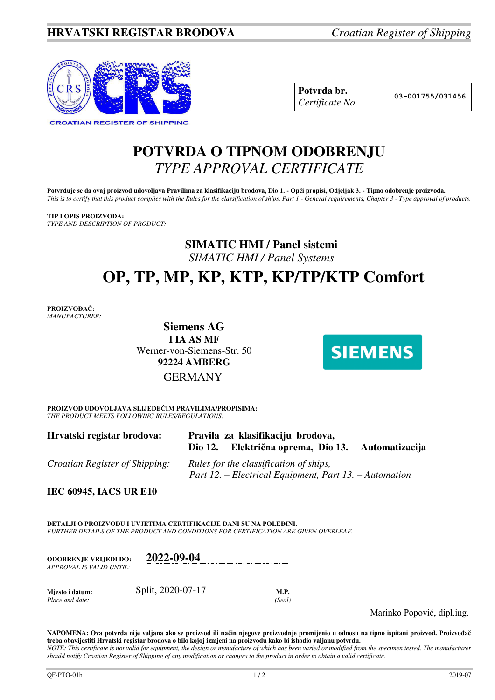

| Potvrda br.     |
|-----------------|
| Certificate No. |

**Potvrda br. 03-001755/031456**

## **POTVRDA O TIPNOM ODOBRENJU**  *TYPE APPROVAL CERTIFICATE*

Potvrđuje se da ovaj proizvod udovoljava Pravilima za klasifikaciju brodova, Dio 1. - Opći propisi, Odjeljak 3. - Tipno odobrenje proizvoda. *This is to certify that this product complies with the Rules for the classification of ships, Part 1 - General requirements, Chapter 3 - Type approval of products.* 

### **TIP I OPIS PROIZVODA:**

*TYPE AND DESCRIPTION OF PRODUCT:* 

## **SIMATIC HMI / Panel sistemi**  *SIMATIC HMI / Panel Systems*

# **OP, TP, MP, KP, KTP, KP/TP/KTP Comfort**

**PROIZVOĐAČ:** *MANUFACTURER:*

> **Siemens AG I IA AS MF**  Werner-von-Siemens-Str. 50 **92224 AMBERG** GERMANY



**PROIZVOD UDOVOLJAVA SLIJEDEĆIM PRAVILIMA/PROPISIMA:** *THE PRODUCT MEETS FOLLOWING RULES/REGULATIONS:* 

| Hrvatski registar brodova:            | Pravila za klasifikaciju brodova,<br>Dio 12. – Električna oprema, Dio 13. – Automatizacija       |
|---------------------------------------|--------------------------------------------------------------------------------------------------|
| <i>Croatian Register of Shipping:</i> | Rules for the classification of ships,<br>Part 12. – Electrical Equipment, Part 13. – Automation |

**IEC 60945, IACS UR E10** 

**DETALJI O PROIZVODU I UVJETIMA CERTIFIKACIJE DANI SU NA POLEĐINI.** *FURTHER DETAILS OF THE PRODUCT AND CONDITIONS FOR CERTIFICATION ARE GIVEN OVERLEAF.*

| <b>ODOBRENJE VRLJEDI DO:</b><br>APPROVAL IS VALID UNTIL: | 2022-09-04        |                |  |
|----------------------------------------------------------|-------------------|----------------|--|
| Mjesto i datum:<br>Place and date:                       | Split, 2020-07-17 | M.P.<br>(Seal) |  |

Marinko Popović, dipl.ing.

**NAPOMENA: Ova potvrda nije valjana ako se proizvod ili način njegove proizvodnje promijenio u odnosu na tipno ispitani proizvod. Proizvođač treba obavijestiti Hrvatski registar brodova o bilo kojoj izmjeni na proizvodu kako bi ishodio valjanu potvrdu.**  *NOTE: This certificate is not valid for equipment, the design or manufacture of which has been varied or modified from the specimen tested. The manufacturer should notify Croatian Register of Shipping of any modification or changes to the product in order to obtain a valid certificate.*